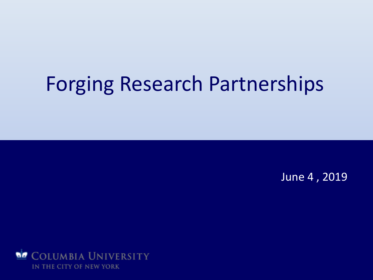## Forging Research Partnerships

June 4 , 2019

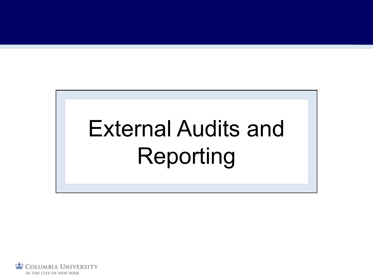# External Audits and Reporting

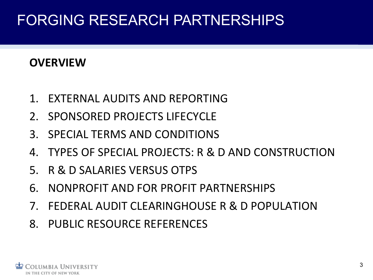### FORGING RESEARCH PARTNERSHIPS

#### **OVERVIEW**

- 1. EXTERNAL AUDITS AND REPORTING
- 2. SPONSORED PROJECTS LIFECYCLE
- 3. SPECIAL TERMS AND CONDITIONS
- 4. TYPES OF SPECIAL PROJECTS: R & D AND CONSTRUCTION
- 5. R & D SALARIES VERSUS OTPS
- 6. NONPROFIT AND FOR PROFIT PARTNERSHIPS
- 7. FEDERAL AUDIT CLEARINGHOUSE R & D POPULATION
- 8. PUBLIC RESOURCE REFERENCES

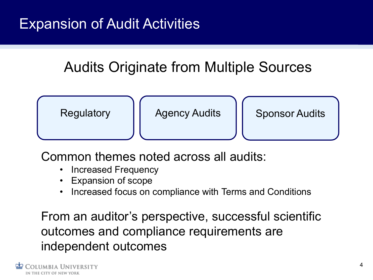### Audits Originate from Multiple Sources



Common themes noted across all audits:

- Increased Frequency
- Expansion of scope
- Increased focus on compliance with Terms and Conditions

From an auditor's perspective, successful scientific outcomes and compliance requirements are independent outcomes

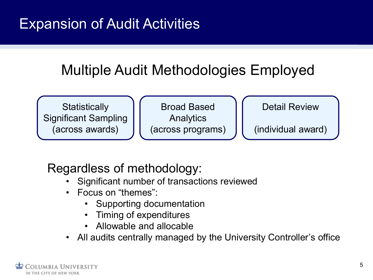## Multiple Audit Methodologies Employed

**Statistically** Significant Sampling (across awards)

Broad Based Analytics (across programs) Detail Review

(individual award)

### Regardless of methodology:

- Significant number of transactions reviewed
- Focus on "themes":
	- Supporting documentation
	- Timing of expenditures
	- Allowable and allocable
- All audits centrally managed by the University Controller's office

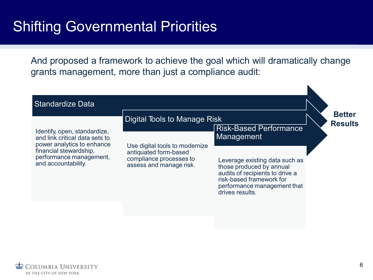### **Shifting Governmental Priorities**

And proposed a framework to achieve the goal which will dramatically change grants management, more than just a compliance audit:



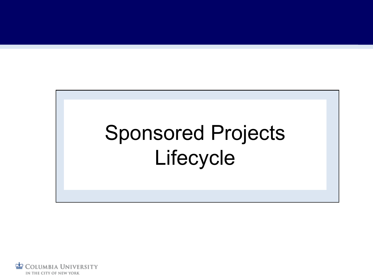

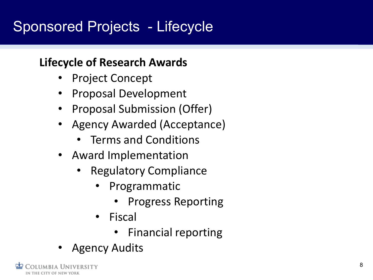## Sponsored Projects - Lifecycle

### **Lifecycle of Research Awards**

- Project Concept
- Proposal Development
- Proposal Submission (Offer)
- Agency Awarded (Acceptance)
	- Terms and Conditions
- Award Implementation
	- Regulatory Compliance
		- Programmatic
			- Progress Reporting
		- Fiscal
			- Financial reporting
- Agency Audits

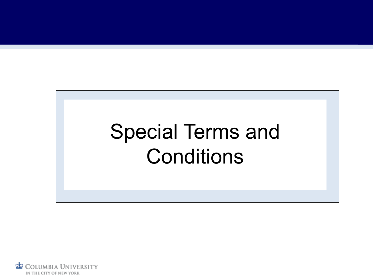## Special Terms and **Conditions**

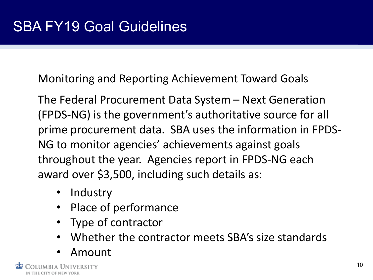Monitoring and Reporting Achievement Toward Goals

The Federal Procurement Data System – Next Generation (FPDS-NG) is the government's authoritative source for all prime procurement data. SBA uses the information in FPDS-NG to monitor agencies' achievements against goals throughout the year. Agencies report in FPDS-NG each award over \$3,500, including such details as:

- Industry
- Place of performance
- Type of contractor
- Whether the contractor meets SBA's size standards
- Amount

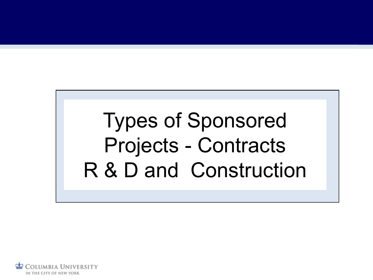## Types of Sponsored Projects - Contracts R & D and Construction

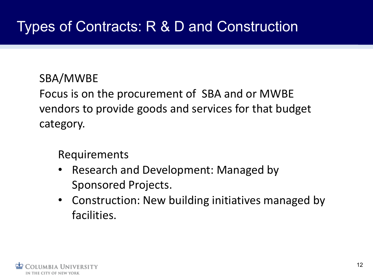#### SBA/MWBE

Focus is on the procurement of SBA and or MWBE vendors to provide goods and services for that budget category.

#### Requirements

- Research and Development: Managed by Sponsored Projects.
- Construction: New building initiatives managed by facilities.

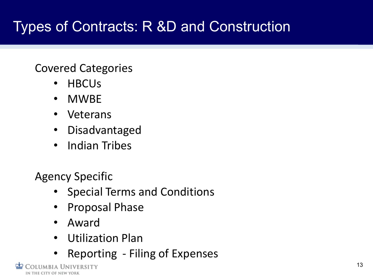## Types of Contracts: R &D and Construction

### Covered Categories

- HBCUs
- MWBE
- Veterans
- Disadvantaged
- Indian Tribes

Agency Specific

- Special Terms and Conditions
- Proposal Phase
- Award
- Utilization Plan
- Reporting Filing of Expenses

**BIA UNIVERSITY** IN THE CITY OF NEW YORK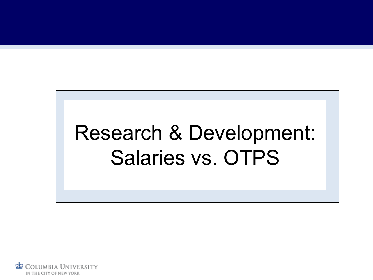## Research & Development: Salaries vs. OTPS

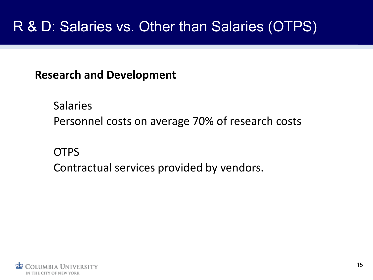### R & D: Salaries vs. Other than Salaries (OTPS)

**Research and Development**

Salaries Personnel costs on average 70% of research costs

**OTPS** 

Contractual services provided by vendors.

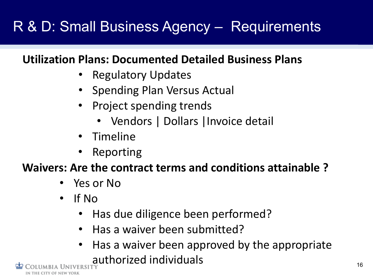## R & D: Small Business Agency – Requirements

### **Utilization Plans: Documented Detailed Business Plans**

- Regulatory Updates
- Spending Plan Versus Actual
- Project spending trends
	- Vendors | Dollars |Invoice detail
- Timeline
- **Reporting**

### **Waivers: Are the contract terms and conditions attainable ?**

- Yes or No
- If No
	- Has due diligence been performed?
	- Has a waiver been submitted?
	- Has a waiver been approved by the appropriate authorized individuals

CITY OF NEW YORK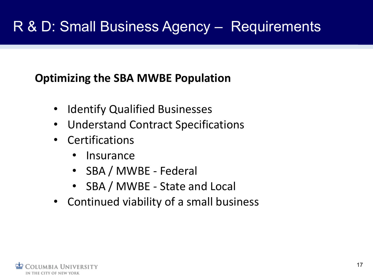## R & D: Small Business Agency – Requirements

### **Optimizing the SBA MWBE Population**

- Identify Qualified Businesses
- Understand Contract Specifications
- **Certifications** 
	- **Insurance**
	- SBA / MWBE Federal
	- SBA / MWBE State and Local
- Continued viability of a small business

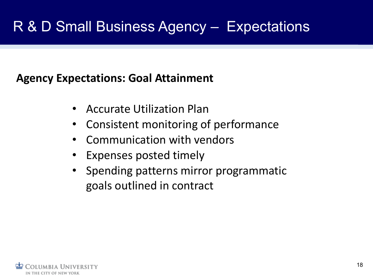### **Agency Expectations: Goal Attainment**

- Accurate Utilization Plan
- Consistent monitoring of performance
- Communication with vendors
- Expenses posted timely
- Spending patterns mirror programmatic goals outlined in contract

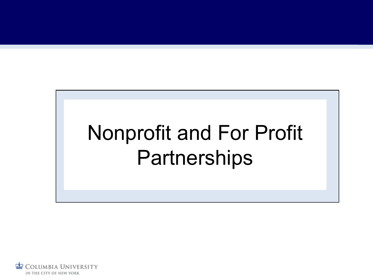## Nonprofit and For Profit **Partnerships**

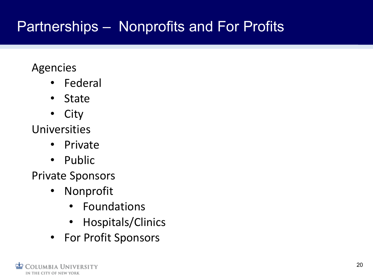## Partnerships – Nonprofits and For Profits

### Agencies

- Federal
- State
- City

### Universities

- Private
- Public

Private Sponsors

- Nonprofit
	- Foundations
	- Hospitals/Clinics
- For Profit Sponsors

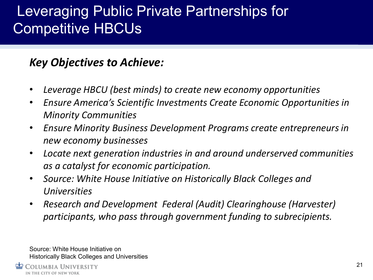## Leveraging Public Private Partnerships for Competitive HBCUs

### *Key Objectives to Achieve:*

- *Leverage HBCU (best minds) to create new economy opportunities*
- *Ensure America's Scientific Investments Create Economic Opportunities in Minority Communities*
- *Ensure Minority Business Development Programs create entrepreneurs in new economy businesses*
- *Locate next generation industries in and around underserved communities as a catalyst for economic participation.*
- *Source: White House Initiative on Historically Black Colleges and Universities*
- *Research and Development Federal (Audit) Clearinghouse (Harvester) participants, who pass through government funding to subrecipients.*

Source: White House Initiative on Historically Black Colleges and Universities

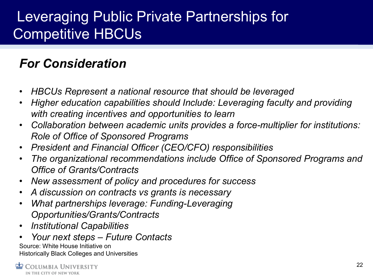## Leveraging Public Private Partnerships for Competitive HBCUs

### *For Consideration*

- *HBCUs Represent a national resource that should be leveraged*
- *Higher education capabilities should Include: Leveraging faculty and providing with creating incentives and opportunities to learn*
- *Collaboration between academic units provides a force-multiplier for institutions: Role of Office of Sponsored Programs*
- *President and Financial Officer (CEO/CFO) responsibilities*
- *The organizational recommendations include Office of Sponsored Programs and Office of Grants/Contracts*
- *New assessment of policy and procedures for success*
- *A discussion on contracts vs grants is necessary*
- *What partnerships leverage: Funding-Leveraging Opportunities/Grants/Contracts*
- *Institutional Capabilities*
- *Your next steps – Future Contacts*

Source: White House Initiative on Historically Black Colleges and Universities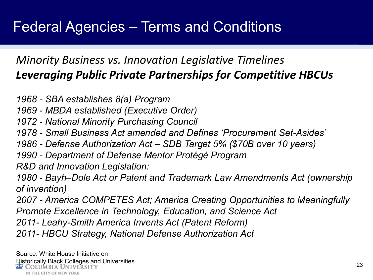### *Minority Business vs. Innovation Legislative Timelines Leveraging Public Private Partnerships for Competitive HBCUs*

- *1968 - SBA establishes 8(a) Program*
- *1969 - MBDA established (Executive Order)*
- *1972 - National Minority Purchasing Council*
- *1978 - Small Business Act amended and Defines 'Procurement Set-Asides'*
- *1986 - Defense Authorization Act – SDB Target 5% (\$70B over 10 years)*

*1990 - Department of Defense Mentor Protégé Program* 

*R&D and Innovation Legislation:* 

*1980 - Bayh–Dole Act or Patent and Trademark Law Amendments Act (ownership of invention)* 

*2007 - America COMPETES Act; America Creating Opportunities to Meaningfully Promote Excellence in Technology, Education, and Science Act* 

*2011- Leahy-Smith America Invents Act (Patent Reform)* 

*2011- HBCU Strategy, National Defense Authorization Act* 

Source: White House Initiative on Historically Black Colleges and Universities<br>ФСОЦИМВІА UNIVERSITY IN THE CITY OF NEW YORK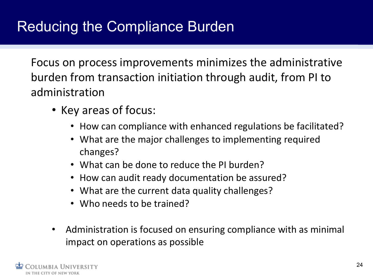Focus on process improvements minimizes the administrative burden from transaction initiation through audit, from PI to administration

- Key areas of focus:
	- How can compliance with enhanced regulations be facilitated?
	- What are the major challenges to implementing required changes?
	- What can be done to reduce the PI burden?
	- How can audit ready documentation be assured?
	- What are the current data quality challenges?
	- Who needs to be trained?
- Administration is focused on ensuring compliance with as minimal impact on operations as possible

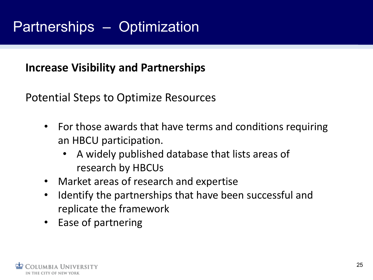## Partnerships – Optimization

#### **Increase Visibility and Partnerships**

Potential Steps to Optimize Resources

- For those awards that have terms and conditions requiring an HBCU participation.
	- A widely published database that lists areas of research by HBCUs
- Market areas of research and expertise
- Identify the partnerships that have been successful and replicate the framework
- Ease of partnering

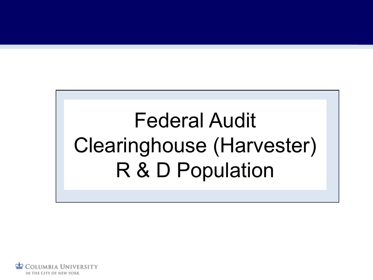## Federal Audit Clearinghouse (Harvester) R & D Population

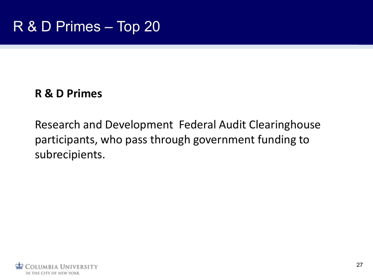### **R & D Primes**

Research and Development Federal Audit Clearinghouse participants, who pass through government funding to subrecipients.

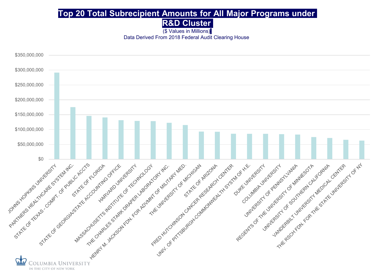#### **Top 20 Total Subrecipient Amounts for All Major Programs under**

**R&D Cluster**

(\$ Values in Millions) Data Derived From 2018 Federal Audit Clearing House

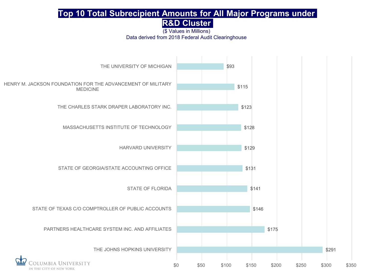#### **Top 10 Total Subrecipient Amounts for All Major Programs under**

**R&D Cluster**

(\$ Values in Millions) Data derived from 2018 Federal Audit Clearinghouse

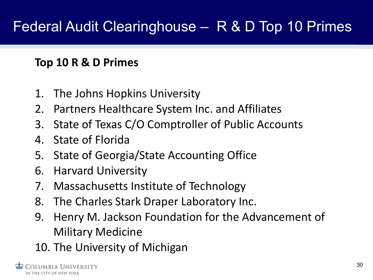### **Top 10 R & D Primes**

- 1. The Johns Hopkins University
- 2. Partners Healthcare System Inc. and Affiliates
- 3. State of Texas C/O Comptroller of Public Accounts
- 4. State of Florida
- 5. State of Georgia/State Accounting Office
- 6. Harvard University
- 7. Massachusetts Institute of Technology
- 8. The Charles Stark Draper Laboratory Inc.
- 9. Henry M. Jackson Foundation for the Advancement of Military Medicine
- 10. The University of Michigan

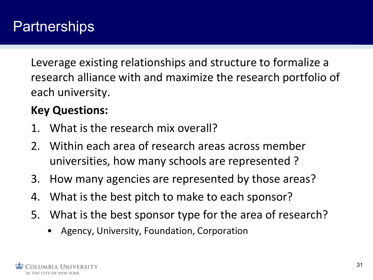### **Partnerships**

Leverage existing relationships and structure to formalize a research alliance with and maximize the research portfolio of each university.

### **Key Questions:**

- 1. What is the research mix overall?
- 2. Within each area of research areas across member universities, how many schools are represented ?
- 3. How many agencies are represented by those areas?
- 4. What is the best pitch to make to each sponsor?
- 5. What is the best sponsor type for the area of research?
	- Agency, University, Foundation, Corporation

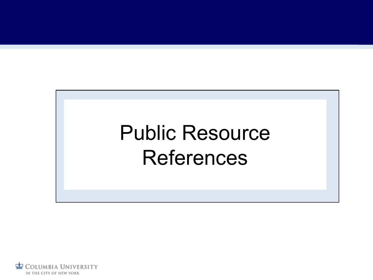# Public Resource References